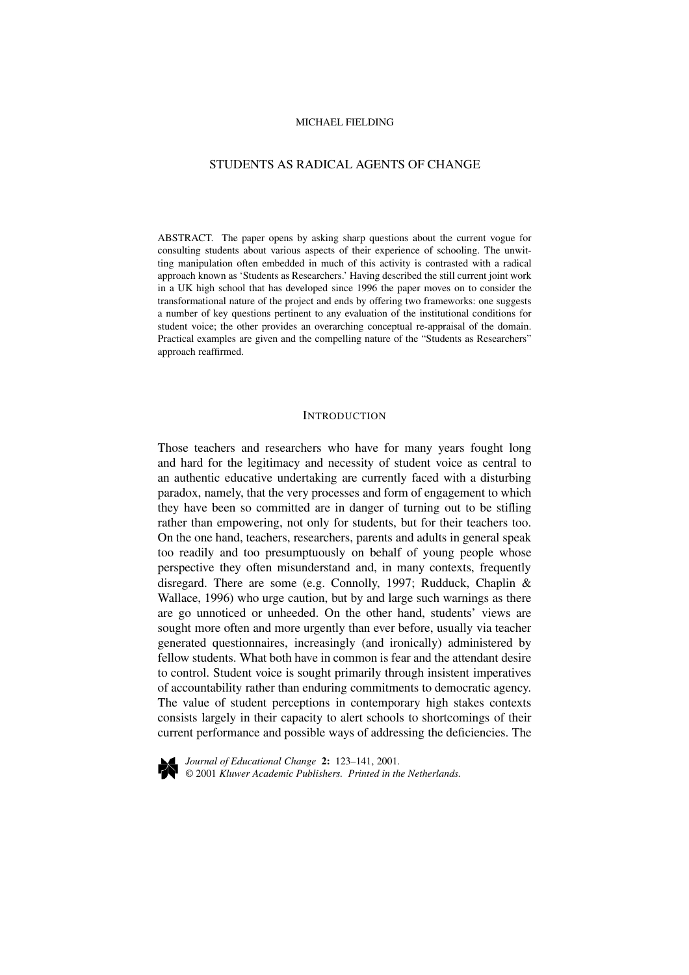## STUDENTS AS RADICAL AGENTS OF CHANGE

ABSTRACT. The paper opens by asking sharp questions about the current vogue for consulting students about various aspects of their experience of schooling. The unwitting manipulation often embedded in much of this activity is contrasted with a radical approach known as 'Students as Researchers.' Having described the still current joint work in a UK high school that has developed since 1996 the paper moves on to consider the transformational nature of the project and ends by offering two frameworks: one suggests a number of key questions pertinent to any evaluation of the institutional conditions for student voice; the other provides an overarching conceptual re-appraisal of the domain. Practical examples are given and the compelling nature of the "Students as Researchers" approach reaffirmed.

## INTRODUCTION

Those teachers and researchers who have for many years fought long and hard for the legitimacy and necessity of student voice as central to an authentic educative undertaking are currently faced with a disturbing paradox, namely, that the very processes and form of engagement to which they have been so committed are in danger of turning out to be stifling rather than empowering, not only for students, but for their teachers too. On the one hand, teachers, researchers, parents and adults in general speak too readily and too presumptuously on behalf of young people whose perspective they often misunderstand and, in many contexts, frequently disregard. There are some (e.g. Connolly, 1997; Rudduck, Chaplin & Wallace, 1996) who urge caution, but by and large such warnings as there are go unnoticed or unheeded. On the other hand, students' views are sought more often and more urgently than ever before, usually via teacher generated questionnaires, increasingly (and ironically) administered by fellow students. What both have in common is fear and the attendant desire to control. Student voice is sought primarily through insistent imperatives of accountability rather than enduring commitments to democratic agency. The value of student perceptions in contemporary high stakes contexts consists largely in their capacity to alert schools to shortcomings of their current performance and possible ways of addressing the deficiencies. The



*Journal of Educational Change* **2:** 123–141, 2001. © 2001 *Kluwer Academic Publishers. Printed in the Netherlands.*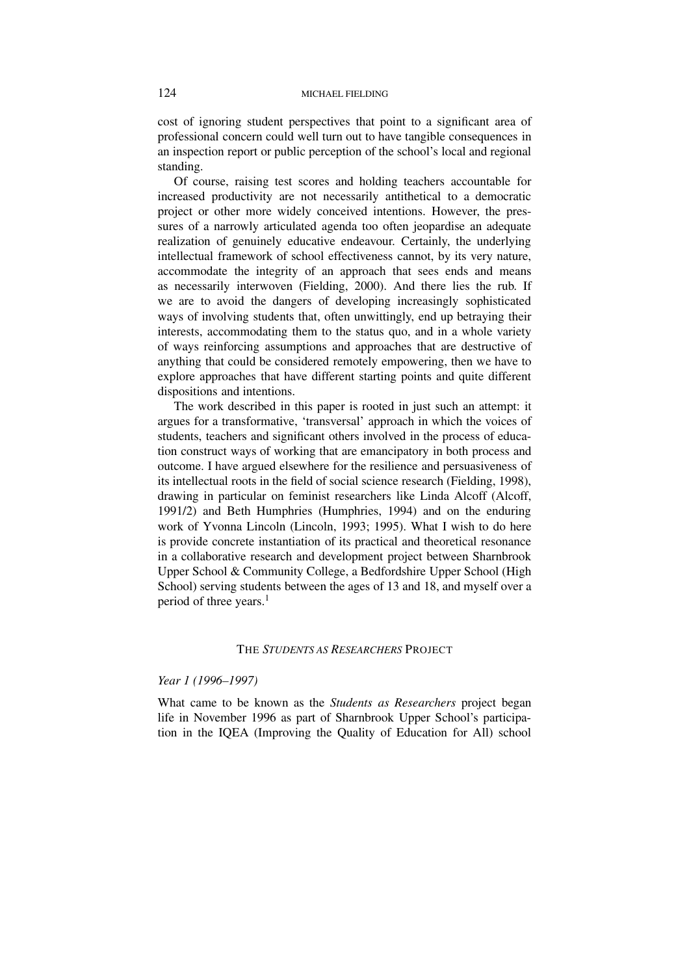cost of ignoring student perspectives that point to a significant area of professional concern could well turn out to have tangible consequences in an inspection report or public perception of the school's local and regional standing.

Of course, raising test scores and holding teachers accountable for increased productivity are not necessarily antithetical to a democratic project or other more widely conceived intentions. However, the pressures of a narrowly articulated agenda too often jeopardise an adequate realization of genuinely educative endeavour. Certainly, the underlying intellectual framework of school effectiveness cannot, by its very nature, accommodate the integrity of an approach that sees ends and means as necessarily interwoven (Fielding, 2000). And there lies the rub. If we are to avoid the dangers of developing increasingly sophisticated ways of involving students that, often unwittingly, end up betraying their interests, accommodating them to the status quo, and in a whole variety of ways reinforcing assumptions and approaches that are destructive of anything that could be considered remotely empowering, then we have to explore approaches that have different starting points and quite different dispositions and intentions.

The work described in this paper is rooted in just such an attempt: it argues for a transformative, 'transversal' approach in which the voices of students, teachers and significant others involved in the process of education construct ways of working that are emancipatory in both process and outcome. I have argued elsewhere for the resilience and persuasiveness of its intellectual roots in the field of social science research (Fielding, 1998), drawing in particular on feminist researchers like Linda Alcoff (Alcoff, 1991/2) and Beth Humphries (Humphries, 1994) and on the enduring work of Yvonna Lincoln (Lincoln, 1993; 1995). What I wish to do here is provide concrete instantiation of its practical and theoretical resonance in a collaborative research and development project between Sharnbrook Upper School & Community College, a Bedfordshire Upper School (High School) serving students between the ages of 13 and 18, and myself over a period of three years. $<sup>1</sup>$ </sup>

#### THE *STUDENTS AS RESEARCHERS* PROJECT

#### *Year 1 (1996–1997)*

What came to be known as the *Students as Researchers* project began life in November 1996 as part of Sharnbrook Upper School's participation in the IQEA (Improving the Quality of Education for All) school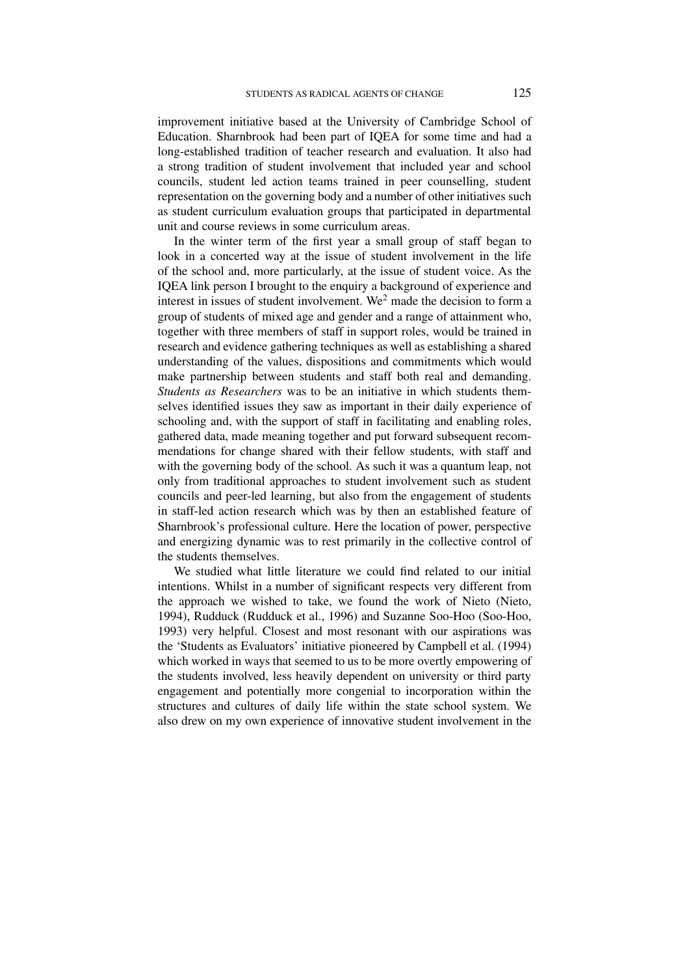improvement initiative based at the University of Cambridge School of Education. Sharnbrook had been part of IQEA for some time and had a long-established tradition of teacher research and evaluation. It also had a strong tradition of student involvement that included year and school councils, student led action teams trained in peer counselling, student representation on the governing body and a number of other initiatives such as student curriculum evaluation groups that participated in departmental unit and course reviews in some curriculum areas.

In the winter term of the first year a small group of staff began to look in a concerted way at the issue of student involvement in the life of the school and, more particularly, at the issue of student voice. As the IQEA link person I brought to the enquiry a background of experience and interest in issues of student involvement. We<sup>2</sup> made the decision to form a group of students of mixed age and gender and a range of attainment who, together with three members of staff in support roles, would be trained in research and evidence gathering techniques as well as establishing a shared understanding of the values, dispositions and commitments which would make partnership between students and staff both real and demanding. *Students as Researchers* was to be an initiative in which students themselves identified issues they saw as important in their daily experience of schooling and, with the support of staff in facilitating and enabling roles, gathered data, made meaning together and put forward subsequent recommendations for change shared with their fellow students, with staff and with the governing body of the school. As such it was a quantum leap, not only from traditional approaches to student involvement such as student councils and peer-led learning, but also from the engagement of students in staff-led action research which was by then an established feature of Sharnbrook's professional culture. Here the location of power, perspective and energizing dynamic was to rest primarily in the collective control of the students themselves.

We studied what little literature we could find related to our initial intentions. Whilst in a number of significant respects very different from the approach we wished to take, we found the work of Nieto (Nieto, 1994), Rudduck (Rudduck et al., 1996) and Suzanne Soo-Hoo (Soo-Hoo, 1993) very helpful. Closest and most resonant with our aspirations was the 'Students as Evaluators' initiative pioneered by Campbell et al. (1994) which worked in ways that seemed to us to be more overtly empowering of the students involved, less heavily dependent on university or third party engagement and potentially more congenial to incorporation within the structures and cultures of daily life within the state school system. We also drew on my own experience of innovative student involvement in the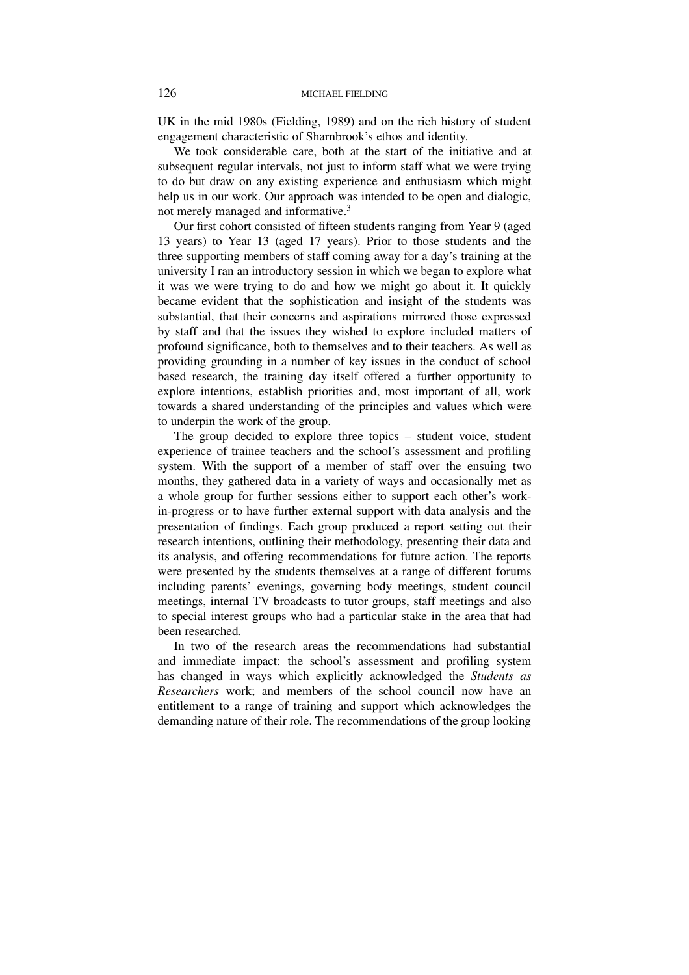UK in the mid 1980s (Fielding, 1989) and on the rich history of student engagement characteristic of Sharnbrook's ethos and identity.

We took considerable care, both at the start of the initiative and at subsequent regular intervals, not just to inform staff what we were trying to do but draw on any existing experience and enthusiasm which might help us in our work. Our approach was intended to be open and dialogic, not merely managed and informative.<sup>3</sup>

Our first cohort consisted of fifteen students ranging from Year 9 (aged 13 years) to Year 13 (aged 17 years). Prior to those students and the three supporting members of staff coming away for a day's training at the university I ran an introductory session in which we began to explore what it was we were trying to do and how we might go about it. It quickly became evident that the sophistication and insight of the students was substantial, that their concerns and aspirations mirrored those expressed by staff and that the issues they wished to explore included matters of profound significance, both to themselves and to their teachers. As well as providing grounding in a number of key issues in the conduct of school based research, the training day itself offered a further opportunity to explore intentions, establish priorities and, most important of all, work towards a shared understanding of the principles and values which were to underpin the work of the group.

The group decided to explore three topics – student voice, student experience of trainee teachers and the school's assessment and profiling system. With the support of a member of staff over the ensuing two months, they gathered data in a variety of ways and occasionally met as a whole group for further sessions either to support each other's workin-progress or to have further external support with data analysis and the presentation of findings. Each group produced a report setting out their research intentions, outlining their methodology, presenting their data and its analysis, and offering recommendations for future action. The reports were presented by the students themselves at a range of different forums including parents' evenings, governing body meetings, student council meetings, internal TV broadcasts to tutor groups, staff meetings and also to special interest groups who had a particular stake in the area that had been researched.

In two of the research areas the recommendations had substantial and immediate impact: the school's assessment and profiling system has changed in ways which explicitly acknowledged the *Students as Researchers* work; and members of the school council now have an entitlement to a range of training and support which acknowledges the demanding nature of their role. The recommendations of the group looking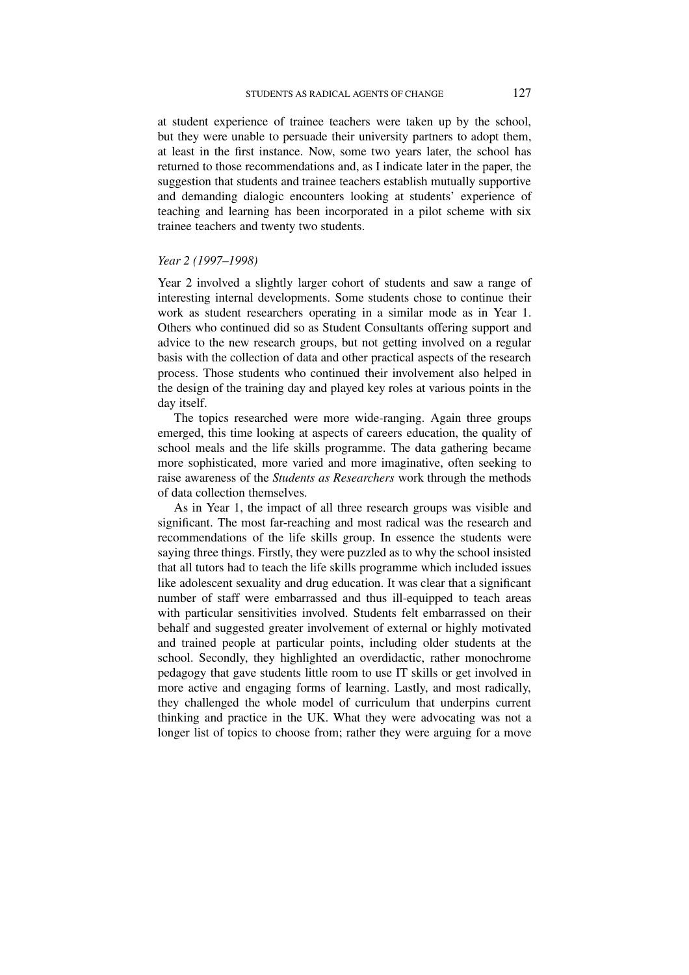at student experience of trainee teachers were taken up by the school, but they were unable to persuade their university partners to adopt them, at least in the first instance. Now, some two years later, the school has returned to those recommendations and, as I indicate later in the paper, the suggestion that students and trainee teachers establish mutually supportive and demanding dialogic encounters looking at students' experience of teaching and learning has been incorporated in a pilot scheme with six trainee teachers and twenty two students.

# *Year 2 (1997–1998)*

Year 2 involved a slightly larger cohort of students and saw a range of interesting internal developments. Some students chose to continue their work as student researchers operating in a similar mode as in Year 1. Others who continued did so as Student Consultants offering support and advice to the new research groups, but not getting involved on a regular basis with the collection of data and other practical aspects of the research process. Those students who continued their involvement also helped in the design of the training day and played key roles at various points in the day itself.

The topics researched were more wide-ranging. Again three groups emerged, this time looking at aspects of careers education, the quality of school meals and the life skills programme. The data gathering became more sophisticated, more varied and more imaginative, often seeking to raise awareness of the *Students as Researchers* work through the methods of data collection themselves.

As in Year 1, the impact of all three research groups was visible and significant. The most far-reaching and most radical was the research and recommendations of the life skills group. In essence the students were saying three things. Firstly, they were puzzled as to why the school insisted that all tutors had to teach the life skills programme which included issues like adolescent sexuality and drug education. It was clear that a significant number of staff were embarrassed and thus ill-equipped to teach areas with particular sensitivities involved. Students felt embarrassed on their behalf and suggested greater involvement of external or highly motivated and trained people at particular points, including older students at the school. Secondly, they highlighted an overdidactic, rather monochrome pedagogy that gave students little room to use IT skills or get involved in more active and engaging forms of learning. Lastly, and most radically, they challenged the whole model of curriculum that underpins current thinking and practice in the UK. What they were advocating was not a longer list of topics to choose from; rather they were arguing for a move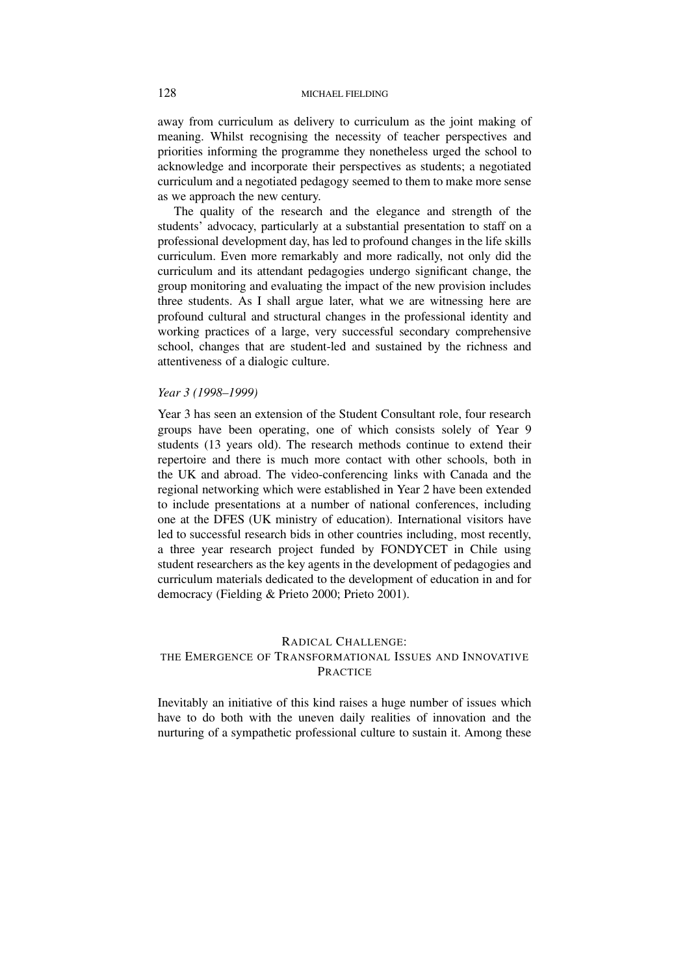away from curriculum as delivery to curriculum as the joint making of meaning. Whilst recognising the necessity of teacher perspectives and priorities informing the programme they nonetheless urged the school to acknowledge and incorporate their perspectives as students; a negotiated curriculum and a negotiated pedagogy seemed to them to make more sense as we approach the new century.

The quality of the research and the elegance and strength of the students' advocacy, particularly at a substantial presentation to staff on a professional development day, has led to profound changes in the life skills curriculum. Even more remarkably and more radically, not only did the curriculum and its attendant pedagogies undergo significant change, the group monitoring and evaluating the impact of the new provision includes three students. As I shall argue later, what we are witnessing here are profound cultural and structural changes in the professional identity and working practices of a large, very successful secondary comprehensive school, changes that are student-led and sustained by the richness and attentiveness of a dialogic culture.

## *Year 3 (1998–1999)*

Year 3 has seen an extension of the Student Consultant role, four research groups have been operating, one of which consists solely of Year 9 students (13 years old). The research methods continue to extend their repertoire and there is much more contact with other schools, both in the UK and abroad. The video-conferencing links with Canada and the regional networking which were established in Year 2 have been extended to include presentations at a number of national conferences, including one at the DFES (UK ministry of education). International visitors have led to successful research bids in other countries including, most recently, a three year research project funded by FONDYCET in Chile using student researchers as the key agents in the development of pedagogies and curriculum materials dedicated to the development of education in and for democracy (Fielding & Prieto 2000; Prieto 2001).

# RADICAL CHALLENGE: THE EMERGENCE OF TRANSFORMATIONAL ISSUES AND INNOVATIVE **PRACTICE**

Inevitably an initiative of this kind raises a huge number of issues which have to do both with the uneven daily realities of innovation and the nurturing of a sympathetic professional culture to sustain it. Among these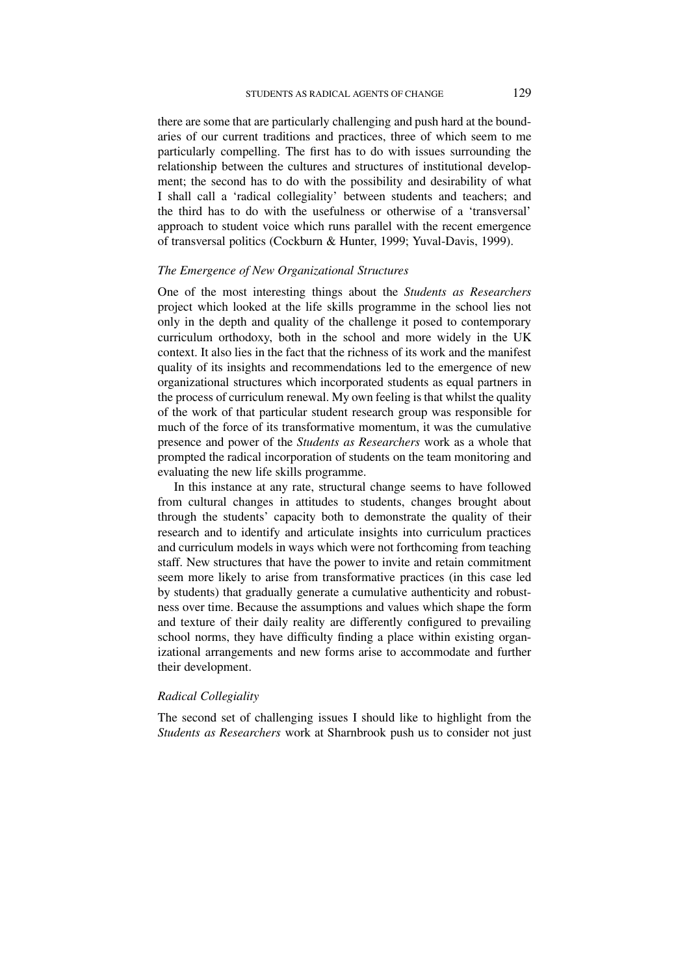there are some that are particularly challenging and push hard at the boundaries of our current traditions and practices, three of which seem to me particularly compelling. The first has to do with issues surrounding the relationship between the cultures and structures of institutional development; the second has to do with the possibility and desirability of what I shall call a 'radical collegiality' between students and teachers; and the third has to do with the usefulness or otherwise of a 'transversal' approach to student voice which runs parallel with the recent emergence of transversal politics (Cockburn & Hunter, 1999; Yuval-Davis, 1999).

## *The Emergence of New Organizational Structures*

One of the most interesting things about the *Students as Researchers* project which looked at the life skills programme in the school lies not only in the depth and quality of the challenge it posed to contemporary curriculum orthodoxy, both in the school and more widely in the UK context. It also lies in the fact that the richness of its work and the manifest quality of its insights and recommendations led to the emergence of new organizational structures which incorporated students as equal partners in the process of curriculum renewal. My own feeling is that whilst the quality of the work of that particular student research group was responsible for much of the force of its transformative momentum, it was the cumulative presence and power of the *Students as Researchers* work as a whole that prompted the radical incorporation of students on the team monitoring and evaluating the new life skills programme.

In this instance at any rate, structural change seems to have followed from cultural changes in attitudes to students, changes brought about through the students' capacity both to demonstrate the quality of their research and to identify and articulate insights into curriculum practices and curriculum models in ways which were not forthcoming from teaching staff. New structures that have the power to invite and retain commitment seem more likely to arise from transformative practices (in this case led by students) that gradually generate a cumulative authenticity and robustness over time. Because the assumptions and values which shape the form and texture of their daily reality are differently configured to prevailing school norms, they have difficulty finding a place within existing organizational arrangements and new forms arise to accommodate and further their development.

## *Radical Collegiality*

The second set of challenging issues I should like to highlight from the *Students as Researchers* work at Sharnbrook push us to consider not just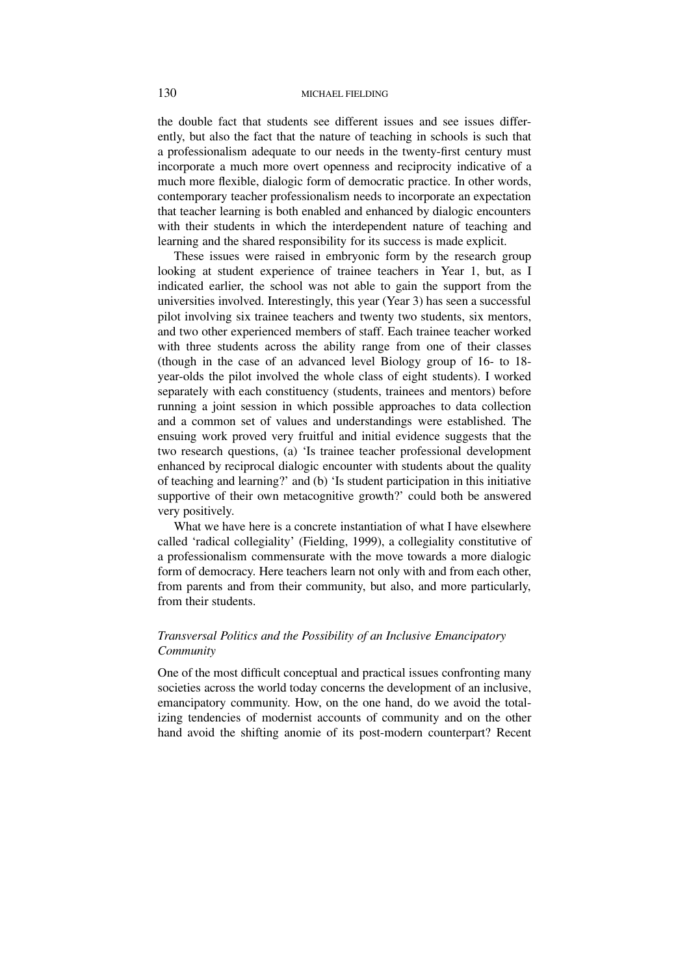the double fact that students see different issues and see issues differently, but also the fact that the nature of teaching in schools is such that a professionalism adequate to our needs in the twenty-first century must incorporate a much more overt openness and reciprocity indicative of a much more flexible, dialogic form of democratic practice. In other words, contemporary teacher professionalism needs to incorporate an expectation that teacher learning is both enabled and enhanced by dialogic encounters with their students in which the interdependent nature of teaching and learning and the shared responsibility for its success is made explicit.

These issues were raised in embryonic form by the research group looking at student experience of trainee teachers in Year 1, but, as I indicated earlier, the school was not able to gain the support from the universities involved. Interestingly, this year (Year 3) has seen a successful pilot involving six trainee teachers and twenty two students, six mentors, and two other experienced members of staff. Each trainee teacher worked with three students across the ability range from one of their classes (though in the case of an advanced level Biology group of 16- to 18 year-olds the pilot involved the whole class of eight students). I worked separately with each constituency (students, trainees and mentors) before running a joint session in which possible approaches to data collection and a common set of values and understandings were established. The ensuing work proved very fruitful and initial evidence suggests that the two research questions, (a) 'Is trainee teacher professional development enhanced by reciprocal dialogic encounter with students about the quality of teaching and learning?' and (b) 'Is student participation in this initiative supportive of their own metacognitive growth?' could both be answered very positively.

What we have here is a concrete instantiation of what I have elsewhere called 'radical collegiality' (Fielding, 1999), a collegiality constitutive of a professionalism commensurate with the move towards a more dialogic form of democracy. Here teachers learn not only with and from each other, from parents and from their community, but also, and more particularly, from their students.

# *Transversal Politics and the Possibility of an Inclusive Emancipatory Community*

One of the most difficult conceptual and practical issues confronting many societies across the world today concerns the development of an inclusive, emancipatory community. How, on the one hand, do we avoid the totalizing tendencies of modernist accounts of community and on the other hand avoid the shifting anomie of its post-modern counterpart? Recent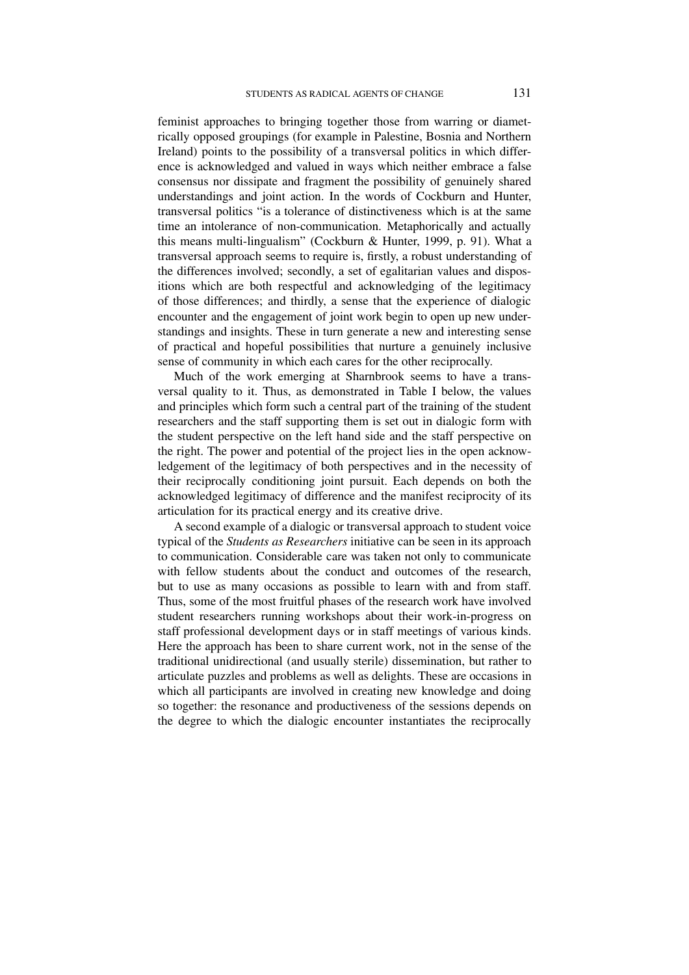feminist approaches to bringing together those from warring or diametrically opposed groupings (for example in Palestine, Bosnia and Northern Ireland) points to the possibility of a transversal politics in which difference is acknowledged and valued in ways which neither embrace a false consensus nor dissipate and fragment the possibility of genuinely shared understandings and joint action. In the words of Cockburn and Hunter, transversal politics "is a tolerance of distinctiveness which is at the same time an intolerance of non-communication. Metaphorically and actually this means multi-lingualism" (Cockburn & Hunter, 1999, p. 91). What a transversal approach seems to require is, firstly, a robust understanding of the differences involved; secondly, a set of egalitarian values and dispositions which are both respectful and acknowledging of the legitimacy of those differences; and thirdly, a sense that the experience of dialogic encounter and the engagement of joint work begin to open up new understandings and insights. These in turn generate a new and interesting sense of practical and hopeful possibilities that nurture a genuinely inclusive sense of community in which each cares for the other reciprocally.

Much of the work emerging at Sharnbrook seems to have a transversal quality to it. Thus, as demonstrated in Table I below, the values and principles which form such a central part of the training of the student researchers and the staff supporting them is set out in dialogic form with the student perspective on the left hand side and the staff perspective on the right. The power and potential of the project lies in the open acknowledgement of the legitimacy of both perspectives and in the necessity of their reciprocally conditioning joint pursuit. Each depends on both the acknowledged legitimacy of difference and the manifest reciprocity of its articulation for its practical energy and its creative drive.

A second example of a dialogic or transversal approach to student voice typical of the *Students as Researchers* initiative can be seen in its approach to communication. Considerable care was taken not only to communicate with fellow students about the conduct and outcomes of the research, but to use as many occasions as possible to learn with and from staff. Thus, some of the most fruitful phases of the research work have involved student researchers running workshops about their work-in-progress on staff professional development days or in staff meetings of various kinds. Here the approach has been to share current work, not in the sense of the traditional unidirectional (and usually sterile) dissemination, but rather to articulate puzzles and problems as well as delights. These are occasions in which all participants are involved in creating new knowledge and doing so together: the resonance and productiveness of the sessions depends on the degree to which the dialogic encounter instantiates the reciprocally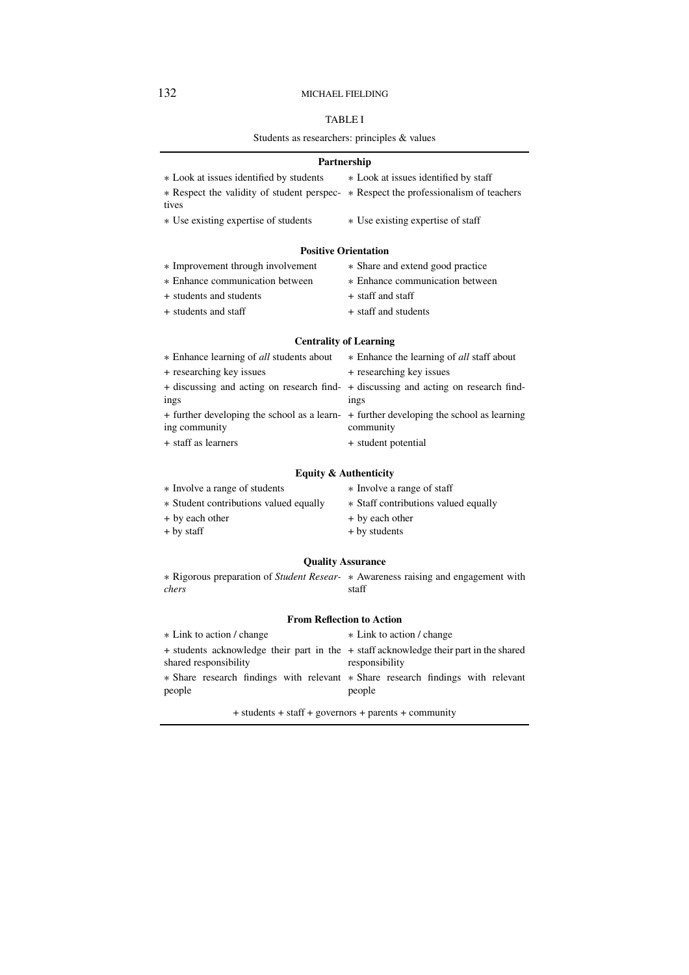#### TABLE I

Students as researchers: principles & values

## **Partnership**

| * Look at issues identified by students             | * Look at issues identified by staff      |
|-----------------------------------------------------|-------------------------------------------|
| * Respect the validity of student perspec-<br>tives | * Respect the professionalism of teachers |
| * Use existing expertise of students                | * Use existing expertise of staff         |
|                                                     | <b>Positive Orientation</b>               |
| * Improvement through involvement                   | * Share and extend good practice          |
| * Enhance communication between                     | * Enhance communication between           |

- + students and students + staff and staff
- + students and staff + staff and students

## **Centrality of Learning**

| * Enhance learning of <i>all</i> students about | * Enhance the learning of all staff about                                                                                   |
|-------------------------------------------------|-----------------------------------------------------------------------------------------------------------------------------|
| + researching key issues                        | + researching key issues                                                                                                    |
| ings                                            | + discussing and acting on research find- + discussing and acting on research find-<br>ings                                 |
| ing community<br>+ staff as learners            | + further developing the school as a learn- + further developing the school as learning<br>community<br>+ student potential |

## **Equity & Authenticity**

| * Involve a range of students          | * Involve a range of staff           |
|----------------------------------------|--------------------------------------|
| * Student contributions valued equally | * Staff contributions valued equally |
| + by each other                        | + by each other                      |
| + by staff                             | + by students                        |
|                                        |                                      |

#### **Quality Assurance**

∗ Rigorous preparation of *Student Resear-*∗ Awareness raising and engagement with *chers* staff

# **From Reflection to Action**

| * Link to action / change                                                                                      | * Link to action / change                                                                 |  |
|----------------------------------------------------------------------------------------------------------------|-------------------------------------------------------------------------------------------|--|
| + students acknowledge their part in the + staff acknowledge their part in the shared<br>shared responsibility | responsibility                                                                            |  |
| people                                                                                                         | * Share research findings with relevant * Share research findings with relevant<br>people |  |

+ students + staff + governors + parents + community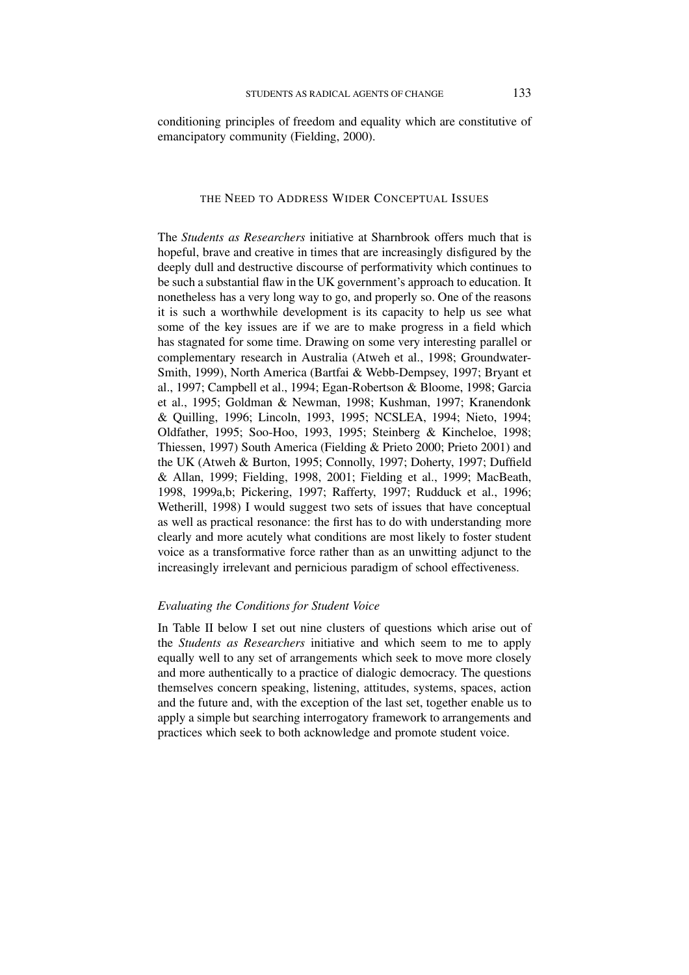conditioning principles of freedom and equality which are constitutive of emancipatory community (Fielding, 2000).

## THE NEED TO ADDRESS WIDER CONCEPTUAL ISSUES

The *Students as Researchers* initiative at Sharnbrook offers much that is hopeful, brave and creative in times that are increasingly disfigured by the deeply dull and destructive discourse of performativity which continues to be such a substantial flaw in the UK government's approach to education. It nonetheless has a very long way to go, and properly so. One of the reasons it is such a worthwhile development is its capacity to help us see what some of the key issues are if we are to make progress in a field which has stagnated for some time. Drawing on some very interesting parallel or complementary research in Australia (Atweh et al., 1998; Groundwater-Smith, 1999), North America (Bartfai & Webb-Dempsey, 1997; Bryant et al., 1997; Campbell et al., 1994; Egan-Robertson & Bloome, 1998; Garcia et al., 1995; Goldman & Newman, 1998; Kushman, 1997; Kranendonk & Quilling, 1996; Lincoln, 1993, 1995; NCSLEA, 1994; Nieto, 1994; Oldfather, 1995; Soo-Hoo, 1993, 1995; Steinberg & Kincheloe, 1998; Thiessen, 1997) South America (Fielding & Prieto 2000; Prieto 2001) and the UK (Atweh & Burton, 1995; Connolly, 1997; Doherty, 1997; Duffield & Allan, 1999; Fielding, 1998, 2001; Fielding et al., 1999; MacBeath, 1998, 1999a,b; Pickering, 1997; Rafferty, 1997; Rudduck et al., 1996; Wetherill, 1998) I would suggest two sets of issues that have conceptual as well as practical resonance: the first has to do with understanding more clearly and more acutely what conditions are most likely to foster student voice as a transformative force rather than as an unwitting adjunct to the increasingly irrelevant and pernicious paradigm of school effectiveness.

## *Evaluating the Conditions for Student Voice*

In Table II below I set out nine clusters of questions which arise out of the *Students as Researchers* initiative and which seem to me to apply equally well to any set of arrangements which seek to move more closely and more authentically to a practice of dialogic democracy. The questions themselves concern speaking, listening, attitudes, systems, spaces, action and the future and, with the exception of the last set, together enable us to apply a simple but searching interrogatory framework to arrangements and practices which seek to both acknowledge and promote student voice.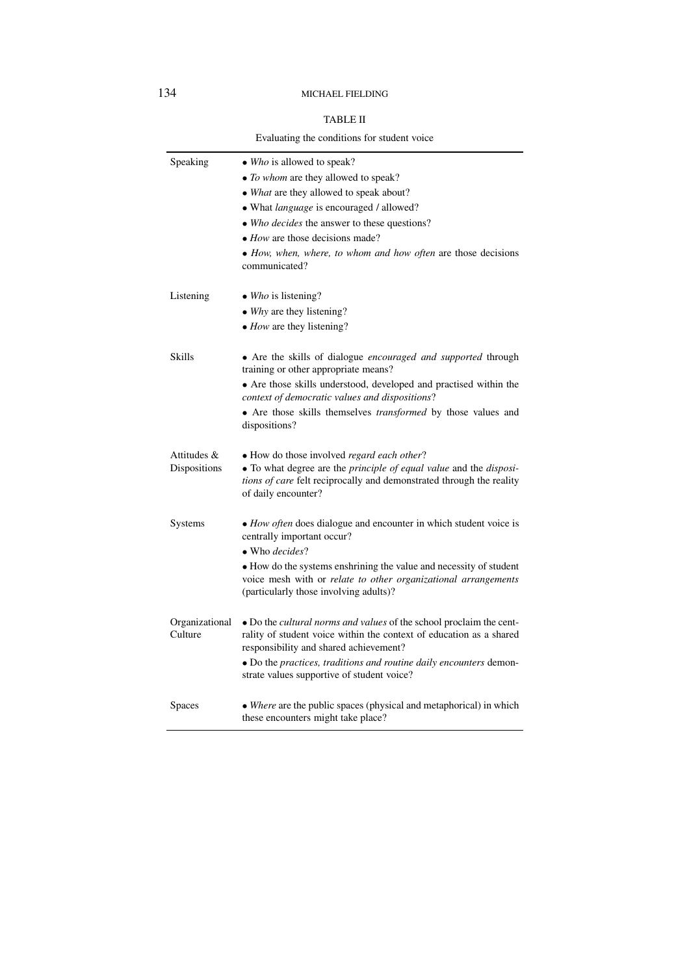#### TABLE II

Speaking • *Who* is allowed to speak? • *To whom* are they allowed to speak? • *What* are they allowed to speak about? • What *language* is encouraged / allowed? • *Who decides* the answer to these questions? • *How* are those decisions made? • *How, when, where, to whom and how often* are those decisions communicated? Listening • *Who* is listening? • *Why* are they listening? • *How* are they listening? Skills • Are the skills of dialogue *encouraged and supported* through training or other appropriate means? • Are those skills understood, developed and practised within the *context of democratic values and dispositions*? • Are those skills themselves *transformed* by those values and dispositions? Attitudes & Dispositions • How do those involved *regard each other*? • To what degree are the *principle of equal value* and the *dispositions of care* felt reciprocally and demonstrated through the reality of daily encounter? Systems • *How often* does dialogue and encounter in which student voice is centrally important occur? • Who *decides*? • How do the systems enshrining the value and necessity of student voice mesh with or *relate to other organizational arrangements* (particularly those involving adults)? Organizational **Culture** • Do the *cultural norms and values* of the school proclaim the centrality of student voice within the context of education as a shared responsibility and shared achievement? • Do the *practices, traditions and routine daily encounters* demonstrate values supportive of student voice? Spaces • *Where* are the public spaces (physical and metaphorical) in which these encounters might take place?

Evaluating the conditions for student voice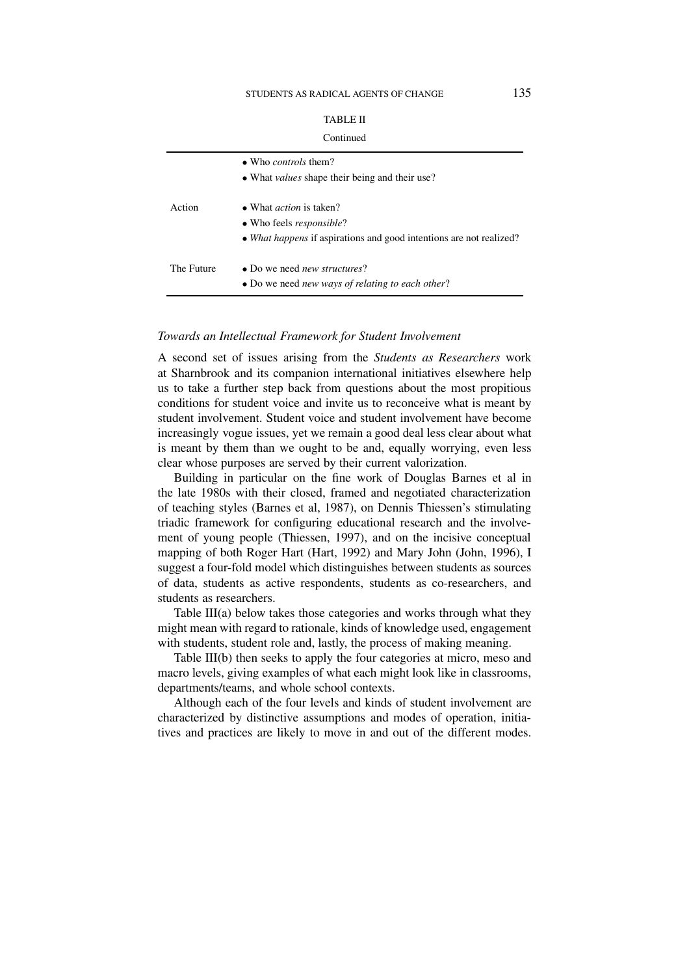## TABLE II

#### Continued

| • Who <i>controls</i> them?<br>• What <i>values</i> shape their being and their use?     |
|------------------------------------------------------------------------------------------|
| • What <i>action</i> is taken?                                                           |
| • Who feels <i>responsible</i> ?                                                         |
| • What happens if aspirations and good intentions are not realized?                      |
| • Do we need <i>new structures</i> ?<br>• Do we need new ways of relating to each other? |
|                                                                                          |

## *Towards an Intellectual Framework for Student Involvement*

A second set of issues arising from the *Students as Researchers* work at Sharnbrook and its companion international initiatives elsewhere help us to take a further step back from questions about the most propitious conditions for student voice and invite us to reconceive what is meant by student involvement. Student voice and student involvement have become increasingly vogue issues, yet we remain a good deal less clear about what is meant by them than we ought to be and, equally worrying, even less clear whose purposes are served by their current valorization.

Building in particular on the fine work of Douglas Barnes et al in the late 1980s with their closed, framed and negotiated characterization of teaching styles (Barnes et al, 1987), on Dennis Thiessen's stimulating triadic framework for configuring educational research and the involvement of young people (Thiessen, 1997), and on the incisive conceptual mapping of both Roger Hart (Hart, 1992) and Mary John (John, 1996), I suggest a four-fold model which distinguishes between students as sources of data, students as active respondents, students as co-researchers, and students as researchers.

Table III(a) below takes those categories and works through what they might mean with regard to rationale, kinds of knowledge used, engagement with students, student role and, lastly, the process of making meaning.

Table III(b) then seeks to apply the four categories at micro, meso and macro levels, giving examples of what each might look like in classrooms, departments/teams, and whole school contexts.

Although each of the four levels and kinds of student involvement are characterized by distinctive assumptions and modes of operation, initiatives and practices are likely to move in and out of the different modes.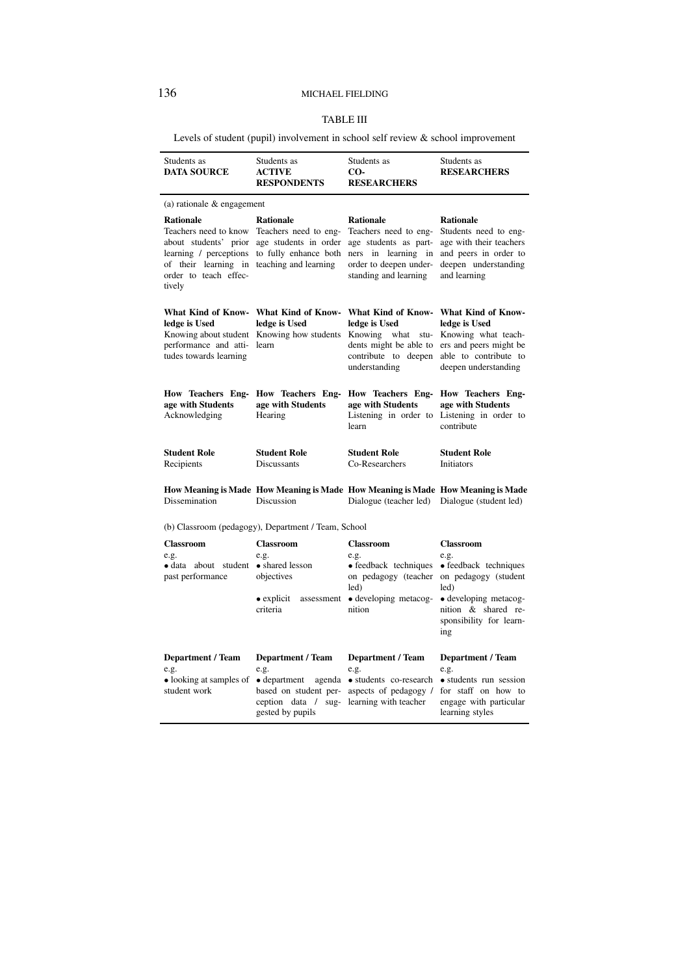## TABLE III

Levels of student (pupil) involvement in school self review & school improvement

| Students as<br><b>DATA SOURCE</b>                                                                                                                       | Students as<br><b>ACTIVE</b><br><b>RESPONDENTS</b>                                                                           | Students as<br>CO-<br><b>RESEARCHERS</b>                                                                                                                                | Students as<br><b>RESEARCHERS</b>                                                                                                                                   |
|---------------------------------------------------------------------------------------------------------------------------------------------------------|------------------------------------------------------------------------------------------------------------------------------|-------------------------------------------------------------------------------------------------------------------------------------------------------------------------|---------------------------------------------------------------------------------------------------------------------------------------------------------------------|
| (a) rationale $&$ engagement                                                                                                                            |                                                                                                                              |                                                                                                                                                                         |                                                                                                                                                                     |
| <b>Rationale</b><br>Teachers need to know<br>about students' prior<br>learning / perceptions<br>of their learning in<br>order to teach effec-<br>tively | <b>Rationale</b><br>Teachers need to eng-<br>age students in order<br>to fully enhance both<br>teaching and learning         | <b>Rationale</b><br>Teachers need to eng-<br>age students as part-<br>ners in learning in<br>order to deepen under-<br>standing and learning                            | <b>Rationale</b><br>Students need to eng-<br>age with their teachers<br>and peers in order to<br>deepen understanding<br>and learning                               |
| ledge is Used<br>performance and atti-<br>tudes towards learning                                                                                        | ledge is Used<br>Knowing about student Knowing how students<br>learn                                                         | What Kind of Know- What Kind of Know- What Kind of Know-<br>ledge is Used<br>Knowing<br>what<br>stu-<br>dents might be able to<br>contribute to deepen<br>understanding | What Kind of Know-<br>ledge is Used<br>Knowing what teach-<br>ers and peers might be<br>able to contribute to<br>deepen understanding                               |
| <b>How Teachers Eng-</b><br>age with Students<br>Acknowledging                                                                                          | How Teachers Eng-<br>age with Students<br>Hearing                                                                            | <b>How Teachers Eng-</b><br>age with Students<br>Listening in order to<br>learn                                                                                         | How Teachers Eng-<br>age with Students<br>Listening in order to<br>contribute                                                                                       |
| <b>Student Role</b><br>Recipients                                                                                                                       | <b>Student Role</b><br>Discussants                                                                                           | <b>Student Role</b><br>Co-Researchers                                                                                                                                   | <b>Student Role</b><br><b>Initiators</b>                                                                                                                            |
| Dissemination                                                                                                                                           | <b>Discussion</b>                                                                                                            | Dialogue (teacher led)                                                                                                                                                  | How Meaning is Made How Meaning is Made How Meaning is Made How Meaning is Made<br>Dialogue (student led)                                                           |
|                                                                                                                                                         | (b) Classroom (pedagogy), Department / Team, School                                                                          |                                                                                                                                                                         |                                                                                                                                                                     |
| <b>Classroom</b><br>e.g.<br>· data about student · shared lesson<br>past performance                                                                    | <b>Classroom</b><br>e.g.<br>objectives<br>• explicit<br>criteria                                                             | <b>Classroom</b><br>e.g.<br>• feedback techniques<br>on pedagogy (teacher<br>led)<br>assessment • developing metacog-<br>nition                                         | <b>Classroom</b><br>e.g.<br>• feedback techniques<br>on pedagogy (student<br>led)<br>• developing metacog-<br>nition & shared re-<br>sponsibility for learn-<br>ing |
| <b>Department / Team</b><br>e.g.<br>· looking at samples of<br>student work                                                                             | <b>Department / Team</b><br>e.g.<br>$\bullet$ department<br>based on student per-<br>ception data / sug-<br>gested by pupils | <b>Department / Team</b><br>e.g.<br>agenda • students co-research<br>aspects of pedagogy /<br>learning with teacher                                                     | <b>Department / Team</b><br>e.g.<br>• students run session<br>for staff on how to<br>engage with particular<br>learning styles                                      |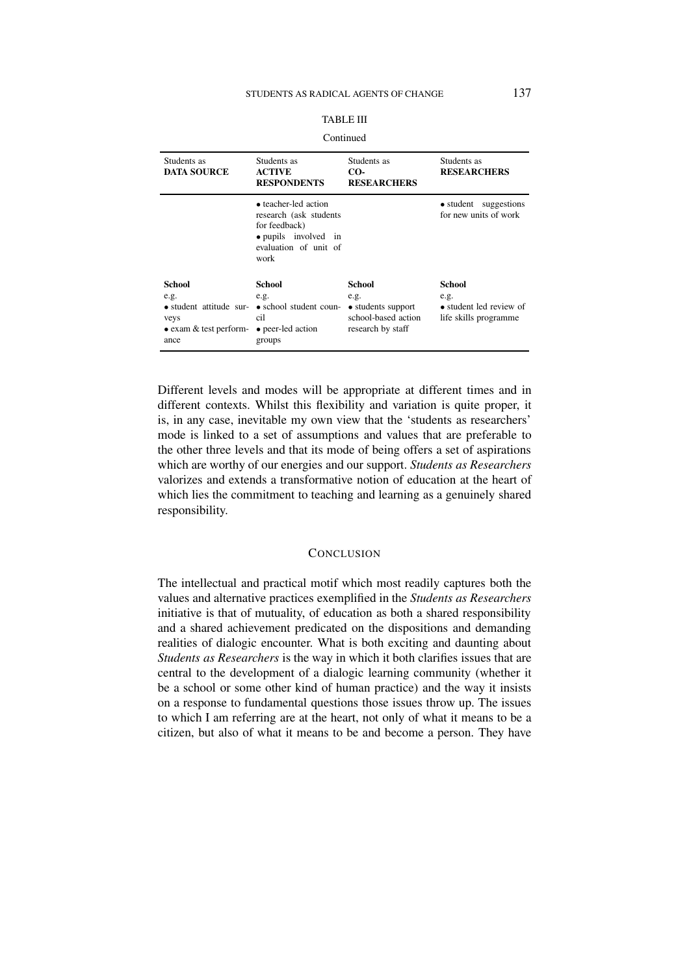Continued

| Students as<br><b>DATA SOURCE</b>                                | Students as<br><b>ACTIVE</b><br><b>RESPONDENTS</b>                                                                       | Students as<br>CO-<br><b>RESEARCHERS</b>                                                | Students as<br><b>RESEARCHERS</b>                                  |
|------------------------------------------------------------------|--------------------------------------------------------------------------------------------------------------------------|-----------------------------------------------------------------------------------------|--------------------------------------------------------------------|
|                                                                  | • teacher-led action<br>research (ask students<br>for feedback)<br>• pupils involved in<br>evaluation of unit of<br>work |                                                                                         | • student suggestions<br>for new units of work                     |
| School<br>e.g.<br>veys<br>$\bullet$ exam & test perform-<br>ance | <b>School</b><br>e.g.<br>• student attitude sur- • school student coun-<br>cil<br>• peer-led action<br>groups            | <b>School</b><br>e.g.<br>• students support<br>school-based action<br>research by staff | School<br>e.g.<br>• student led review of<br>life skills programme |

Different levels and modes will be appropriate at different times and in different contexts. Whilst this flexibility and variation is quite proper, it is, in any case, inevitable my own view that the 'students as researchers' mode is linked to a set of assumptions and values that are preferable to the other three levels and that its mode of being offers a set of aspirations which are worthy of our energies and our support. *Students as Researchers* valorizes and extends a transformative notion of education at the heart of which lies the commitment to teaching and learning as a genuinely shared responsibility.

## CONCLUSION

The intellectual and practical motif which most readily captures both the values and alternative practices exemplified in the *Students as Researchers* initiative is that of mutuality, of education as both a shared responsibility and a shared achievement predicated on the dispositions and demanding realities of dialogic encounter. What is both exciting and daunting about *Students as Researchers* is the way in which it both clarifies issues that are central to the development of a dialogic learning community (whether it be a school or some other kind of human practice) and the way it insists on a response to fundamental questions those issues throw up. The issues to which I am referring are at the heart, not only of what it means to be a citizen, but also of what it means to be and become a person. They have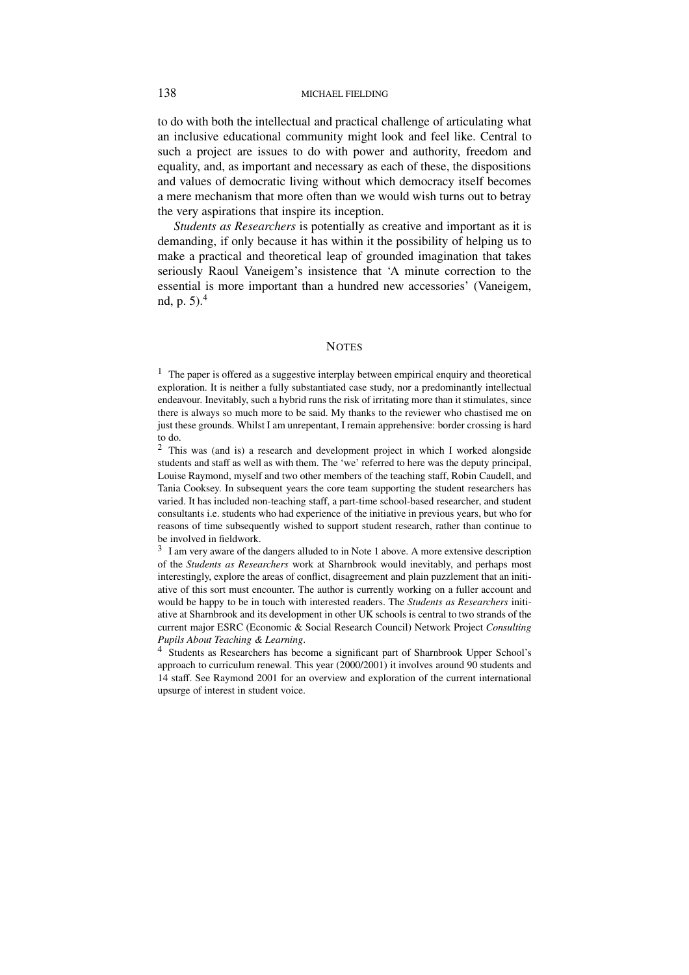to do with both the intellectual and practical challenge of articulating what an inclusive educational community might look and feel like. Central to such a project are issues to do with power and authority, freedom and equality, and, as important and necessary as each of these, the dispositions and values of democratic living without which democracy itself becomes a mere mechanism that more often than we would wish turns out to betray the very aspirations that inspire its inception.

*Students as Researchers* is potentially as creative and important as it is demanding, if only because it has within it the possibility of helping us to make a practical and theoretical leap of grounded imagination that takes seriously Raoul Vaneigem's insistence that 'A minute correction to the essential is more important than a hundred new accessories' (Vaneigem, nd, p. 5).<sup>4</sup>

## **NOTES**

 $1$  The paper is offered as a suggestive interplay between empirical enquiry and theoretical exploration. It is neither a fully substantiated case study, nor a predominantly intellectual endeavour. Inevitably, such a hybrid runs the risk of irritating more than it stimulates, since there is always so much more to be said. My thanks to the reviewer who chastised me on just these grounds. Whilst I am unrepentant, I remain apprehensive: border crossing is hard to do.

<sup>2</sup> This was (and is) a research and development project in which I worked alongside students and staff as well as with them. The 'we' referred to here was the deputy principal, Louise Raymond, myself and two other members of the teaching staff, Robin Caudell, and Tania Cooksey. In subsequent years the core team supporting the student researchers has varied. It has included non-teaching staff, a part-time school-based researcher, and student consultants i.e. students who had experience of the initiative in previous years, but who for reasons of time subsequently wished to support student research, rather than continue to be involved in fieldwork.

<sup>3</sup> I am very aware of the dangers alluded to in Note 1 above. A more extensive description of the *Students as Researchers* work at Sharnbrook would inevitably, and perhaps most interestingly, explore the areas of conflict, disagreement and plain puzzlement that an initiative of this sort must encounter. The author is currently working on a fuller account and would be happy to be in touch with interested readers. The *Students as Researchers* initiative at Sharnbrook and its development in other UK schools is central to two strands of the current major ESRC (Economic & Social Research Council) Network Project *Consulting Pupils About Teaching & Learning*. <sup>4</sup> Students as Researchers has become a significant part of Sharnbrook Upper School's

approach to curriculum renewal. This year (2000/2001) it involves around 90 students and 14 staff. See Raymond 2001 for an overview and exploration of the current international upsurge of interest in student voice.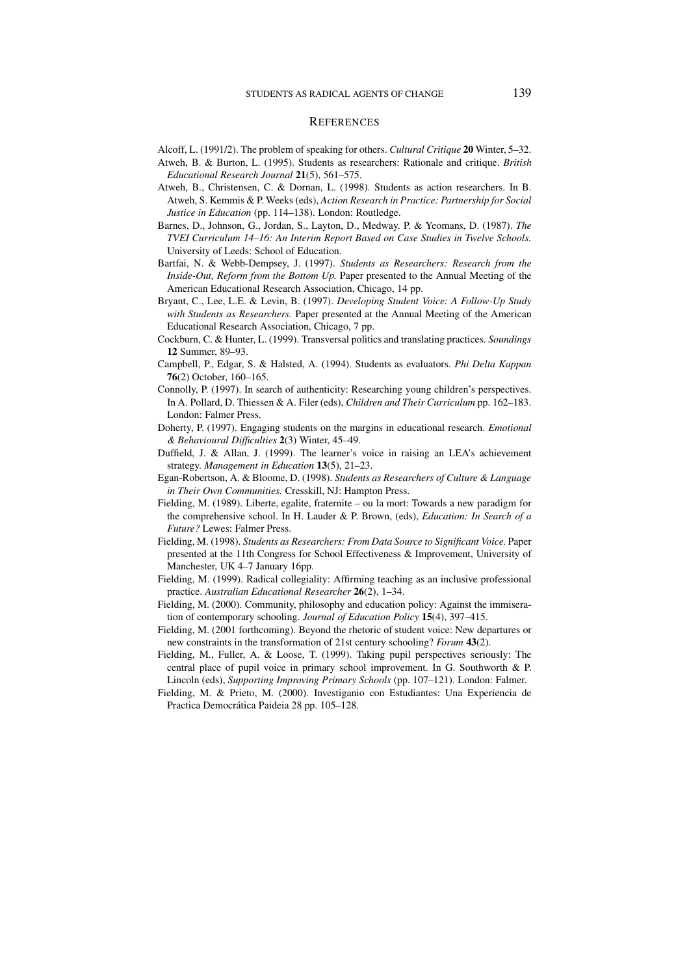#### **REFERENCES**

Alcoff, L. (1991/2). The problem of speaking for others. *Cultural Critique* **20** Winter, 5–32. Atweh, B. & Burton, L. (1995). Students as researchers: Rationale and critique. *British*

*Educational Research Journal* **21**(5), 561–575.

- Atweh, B., Christensen, C. & Dornan, L. (1998). Students as action researchers. In B. Atweh, S. Kemmis & P. Weeks (eds), *Action Research in Practice: Partnership for Social Justice in Education* (pp. 114–138). London: Routledge.
- Barnes, D., Johnson, G., Jordan, S., Layton, D., Medway. P. & Yeomans, D. (1987). *The TVEI Curriculum 14–16: An Interim Report Based on Case Studies in Twelve Schools.* University of Leeds: School of Education.
- Bartfai, N. & Webb-Dempsey, J. (1997). *Students as Researchers: Research from the Inside-Out, Reform from the Bottom Up.* Paper presented to the Annual Meeting of the American Educational Research Association, Chicago, 14 pp.
- Bryant, C., Lee, L.E. & Levin, B. (1997). *Developing Student Voice: A Follow-Up Study with Students as Researchers.* Paper presented at the Annual Meeting of the American Educational Research Association, Chicago, 7 pp.
- Cockburn, C. & Hunter, L. (1999). Transversal politics and translating practices. *Soundings* **12** Summer, 89–93.
- Campbell, P., Edgar, S. & Halsted, A. (1994). Students as evaluators. *Phi Delta Kappan* **76**(2) October, 160–165.
- Connolly, P. (1997). In search of authenticity: Researching young children's perspectives. In A. Pollard, D. Thiessen & A. Filer (eds), *Children and Their Curriculum* pp. 162–183. London: Falmer Press.
- Doherty, P. (1997). Engaging students on the margins in educational research. *Emotional & Behavioural Difficulties* **2**(3) Winter, 45–49.
- Duffield, J. & Allan, J. (1999). The learner's voice in raising an LEA's achievement strategy. *Management in Education* **13**(5), 21–23.
- Egan-Robertson, A. & Bloome, D. (1998). *Students as Researchers of Culture & Language in Their Own Communities.* Cresskill, NJ: Hampton Press.
- Fielding, M. (1989). Liberte, egalite, fraternite ou la mort: Towards a new paradigm for the comprehensive school. In H. Lauder & P. Brown, (eds), *Education: In Search of a Future?* Lewes: Falmer Press.
- Fielding, M. (1998). *Students as Researchers: From Data Source to Significant Voice.* Paper presented at the 11th Congress for School Effectiveness & Improvement, University of Manchester, UK 4–7 January 16pp.
- Fielding, M. (1999). Radical collegiality: Affirming teaching as an inclusive professional practice. *Australian Educational Researcher* **26**(2), 1–34.
- Fielding, M. (2000). Community, philosophy and education policy: Against the immiseration of contemporary schooling. *Journal of Education Policy* **15**(4), 397–415.
- Fielding, M. (2001 forthcoming). Beyond the rhetoric of student voice: New departures or new constraints in the transformation of 21st century schooling? *Forum* **43**(2).
- Fielding, M., Fuller, A. & Loose, T. (1999). Taking pupil perspectives seriously: The central place of pupil voice in primary school improvement. In G. Southworth & P. Lincoln (eds), *Supporting Improving Primary Schools* (pp. 107–121). London: Falmer.
- Fielding, M. & Prieto, M. (2000). Investiganio con Estudiantes: Una Experiencia de Practica Democrática Paideia 28 pp. 105–128.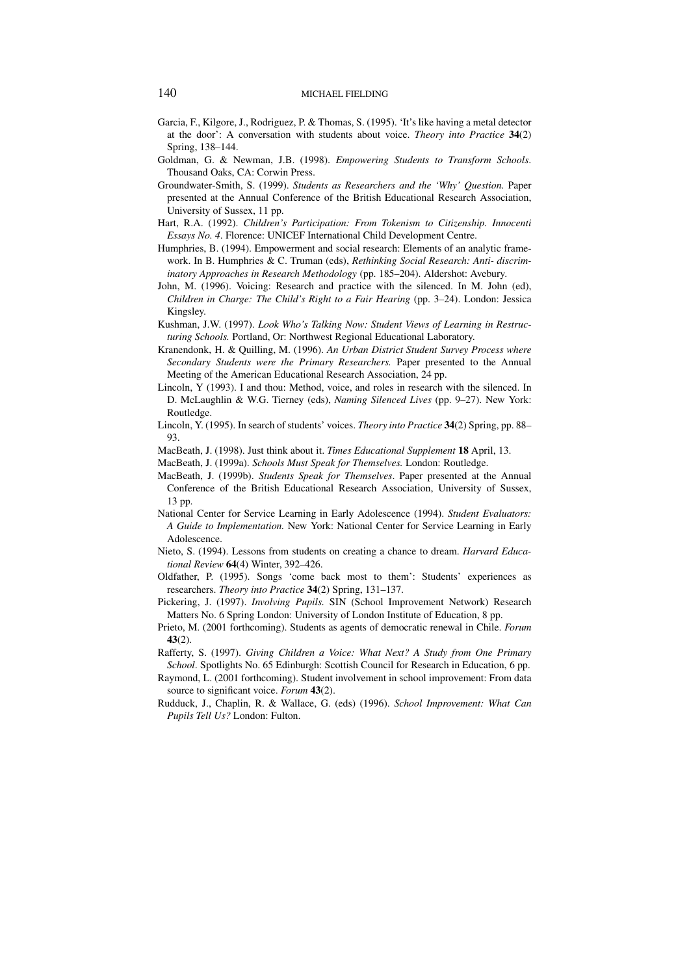- Garcia, F., Kilgore, J., Rodriguez, P. & Thomas, S. (1995). 'It's like having a metal detector at the door': A conversation with students about voice. *Theory into Practice* **34**(2) Spring, 138–144.
- Goldman, G. & Newman, J.B. (1998). *Empowering Students to Transform Schools*. Thousand Oaks, CA: Corwin Press.
- Groundwater-Smith, S. (1999). *Students as Researchers and the 'Why' Question.* Paper presented at the Annual Conference of the British Educational Research Association, University of Sussex, 11 pp.
- Hart, R.A. (1992). *Children's Participation: From Tokenism to Citizenship. Innocenti Essays No. 4*. Florence: UNICEF International Child Development Centre.
- Humphries, B. (1994). Empowerment and social research: Elements of an analytic framework. In B. Humphries & C. Truman (eds), *Rethinking Social Research: Anti- discriminatory Approaches in Research Methodology* (pp. 185–204). Aldershot: Avebury.
- John, M. (1996). Voicing: Research and practice with the silenced. In M. John (ed), *Children in Charge: The Child's Right to a Fair Hearing* (pp. 3–24). London: Jessica Kingsley.
- Kushman, J.W. (1997). *Look Who's Talking Now: Student Views of Learning in Restructuring Schools.* Portland, Or: Northwest Regional Educational Laboratory.
- Kranendonk, H. & Quilling, M. (1996). *An Urban District Student Survey Process where Secondary Students were the Primary Researchers.* Paper presented to the Annual Meeting of the American Educational Research Association, 24 pp.
- Lincoln, Y (1993). I and thou: Method, voice, and roles in research with the silenced. In D. McLaughlin & W.G. Tierney (eds), *Naming Silenced Lives* (pp. 9–27). New York: Routledge.
- Lincoln, Y. (1995). In search of students' voices. *Theory into Practice* **34**(2) Spring, pp. 88– 93.
- MacBeath, J. (1998). Just think about it. *Times Educational Supplement* **18** April, 13.
- MacBeath, J. (1999a). *Schools Must Speak for Themselves.* London: Routledge.
- MacBeath, J. (1999b). *Students Speak for Themselves*. Paper presented at the Annual Conference of the British Educational Research Association, University of Sussex, 13 pp.
- National Center for Service Learning in Early Adolescence (1994). *Student Evaluators: A Guide to Implementation.* New York: National Center for Service Learning in Early Adolescence.
- Nieto, S. (1994). Lessons from students on creating a chance to dream. *Harvard Educational Review* **64**(4) Winter, 392–426.
- Oldfather, P. (1995). Songs 'come back most to them': Students' experiences as researchers. *Theory into Practice* **34**(2) Spring, 131–137.
- Pickering, J. (1997). *Involving Pupils.* SIN (School Improvement Network) Research Matters No. 6 Spring London: University of London Institute of Education, 8 pp.
- Prieto, M. (2001 forthcoming). Students as agents of democratic renewal in Chile. *Forum* **43**(2).
- Rafferty, S. (1997). *Giving Children a Voice: What Next? A Study from One Primary School*. Spotlights No. 65 Edinburgh: Scottish Council for Research in Education, 6 pp.
- Raymond, L. (2001 forthcoming). Student involvement in school improvement: From data source to significant voice. *Forum* **43**(2).
- Rudduck, J., Chaplin, R. & Wallace, G. (eds) (1996). *School Improvement: What Can Pupils Tell Us?* London: Fulton.